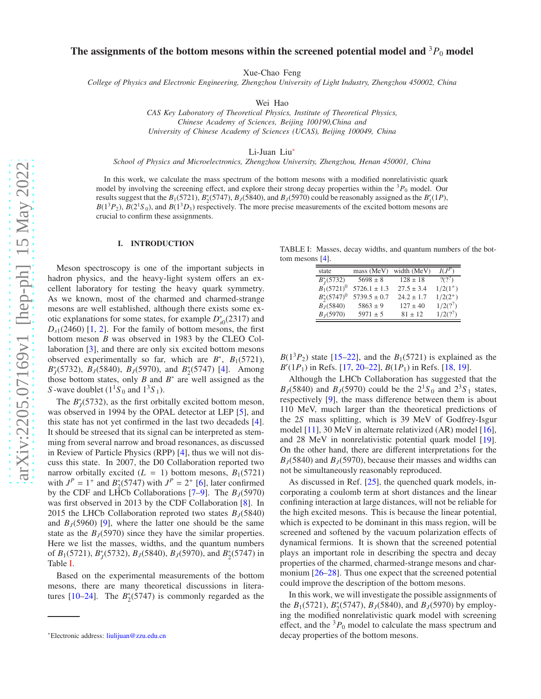# The assignments of the bottom mesons within the screened potential model and  ${}^{3}P_{0}$  model

Xue-Chao Feng

*College of Physics and Electronic Engineering, Zhengzhou University of Light Industry, Zhengzhou 450002, China*

Wei Hao

*CAS Key Laboratory of Theoretical Physics, Institute of Theoretical Physics, Chinese Academy of Sciences, Beijing 100190,China and University of Chinese Academy of Sciences (UCAS), Beijing 100049, China*

Li-Juan Liu[∗](#page-0-0)

*School of Physics and Microelectronics, Zhengzhou University, Zhengzhou, Henan 450001, China*

In this work, we calculate the mass spectrum of the bottom mesons with a modified nonrelativistic quark model by involving the screening effect, and explore their strong decay properties within the  ${}^{3}P_0$  model. Our results suggest that the  $B_1(5721)$ ,  $B_2^*(5747)$ ,  $B_J(5840)$ , and  $B_J(5970)$  could be reasonably assigned as the  $B'_1(1P)$ ,  $B(1<sup>3</sup>P<sub>2</sub>)$ ,  $B(2<sup>1</sup>S<sub>0</sub>)$ , and  $B(1<sup>3</sup>D<sub>3</sub>)$  respectively. The more precise measurements of the excited bottom mesons are crucial to confirm these assignments.

### I. INTRODUCTION

Meson spectroscopy is one of the important subjects in hadron physics, and the heavy-light system offers an excellent laboratory for testing the heavy quark symmetry. As we known, most of the charmed and charmed-strange mesons are well established, although there exists some exotic explanations for some states, for example  $D_{s0}^*(2317)$  and  $D_{s1}(2460)$  $D_{s1}(2460)$  $D_{s1}(2460)$  [\[1,](#page-4-0) 2]. For the family of bottom mesons, the first bottom meson *B* was observed in 1983 by the CLEO Collaboration [\[3\]](#page-4-2), and there are only six excited bottom mesons observed experimentally so far, which are  $B^*$ ,  $B_1(5721)$ , *B*<sup>\*</sup><sub>J</sub>(5732), *B*<sub>J</sub>(5840), *B*<sub>J</sub>(5970), and *B*<sup>\*</sup><sub>2</sub>(5747) [\[4](#page-4-3)]. Among those bottom states, only  $B$  and  $B^*$  are well assigned as the *S* -wave doublet  $(1<sup>1</sup>S<sub>0</sub>$  and  $1<sup>3</sup>S<sub>1</sub>)$ .

The  $B_J^*(5732)$ , as the first orbitally excited bottom meson, was observed in 1994 by the OPAL detector at LEP [\[5\]](#page-4-4), and this state has not yet confirmed in the last two decadeds [\[4](#page-4-3)]. It should be streesed that its signal can be interpreted as stemming from several narrow and broad resonances, as discussed in Review of Particle Physics (RPP) [\[4\]](#page-4-3), thus we will not discuss this state. In 2007, the D0 Collaboration reported two narrow orbitally excited  $(L = 1)$  bottom mesons,  $B_1(5721)$ with  $J^P = 1^+$  and  $B_2^*(5747)$  with  $J^P = 2^+$  [\[6\]](#page-4-5), later confirmed by the CDF and LHCb Collaborations  $[7-9]$  $[7-9]$ . The  $B<sub>I</sub>(5970)$ was first observed in 2013 by the CDF Collaboration [\[8](#page-4-8)]. In 2015 the LHCb Collaboration reproted two states  $B_J(5840)$ and  $B_J(5960)$  [\[9\]](#page-4-7), where the latter one should be the same state as the  $B<sub>J</sub>(5970)$  since they have the similar properties. Here we list the masses, widths, and the quantum numbers of *B*<sub>1</sub>(5721), *B*<sub>*j*</sub>(5732), *B*<sub>*J*</sub>(5840), *B*<sub>*J*</sub>(5970), and *B*<sub>2</sub><sup>\*</sup>(5747) in Table [I.](#page-0-1)

Based on the experimental measurements of the bottom mesons, there are many theoretical discussions in literatures  $[10-24]$  $[10-24]$ . The  $B_2^*(5747)$  is commonly regarded as the

TABLE I: Masses, decay widths, and quantum numbers of the bottom mesons [\[4\]](#page-4-3).  $=$ 

<span id="page-0-1"></span>

| state           | mass (MeV)       | width (MeV)    | $I(J^P)$     |
|-----------------|------------------|----------------|--------------|
| $B_I^*(5732)$   | $5698 \pm 8$     | $128 \pm 18$   | $2(2^2)$     |
| $B_1(5721)^0$   | $5726.1 \pm 1.3$ | $27.5 \pm 3.4$ | $1/2(1^+)$   |
| $B_2^*(5747)^0$ | $5739.5 \pm 0.7$ | $24.2 \pm 1.7$ | $1/2(2^{+})$ |
| $B_J(5840)$     | $5863 \pm 9$     | $127 \pm 40$   | $1/2(?)^2$   |
| $B_I(5970)$     | $5971 \pm 5$     | $81 \pm 12$    | $1/2(?)^2$   |

 $B(1^3P_2)$  state [\[15](#page-5-1)[–22\]](#page-5-2), and the  $B_1(5721)$  is explained as the *B* ′ (1*P*1) in Refs. [\[17,](#page-5-3) [20](#page-5-4)[–22\]](#page-5-2), *B*(1*P*1) in Refs. [\[18](#page-5-5), [19](#page-5-6)].

Although the LHCb Collaboration has suggested that the *B*<sub>*J*</sub>(5840) and *B*<sub>*J*</sub>(5970) could be the  $2^{1}S_0$  and  $2^{3}S_1$  states, respectively [\[9\]](#page-4-7), the mass difference between them is about 110 MeV, much larger than the theoretical predictions of the 2*S* mass splitting, which is 39 MeV of Godfrey-Isgur model [\[11\]](#page-4-10), 30 MeV in alternate relativized (AR) model [\[16](#page-5-7)], and 28 MeV in nonrelativistic potential quark model [\[19](#page-5-6)]. On the other hand, there are different interpretations for the  $B_J(5840)$  and  $B_J(5970)$ , because their masses and widths can not be simultaneously reasonably reproduced.

As discussed in Ref. [\[25\]](#page-5-8), the quenched quark models, incorporating a coulomb term at short distances and the linear confining interaction at large distances, will not be reliable for the high excited mesons. This is because the linear potential, which is expected to be dominant in this mass region, will be screened and softened by the vacuum polarization effects of dynamical fermions. It is shown that the screened potential plays an important role in describing the spectra and decay properties of the charmed, charmed-strange mesons and charmonium [\[26](#page-5-9)[–28](#page-5-10)]. Thus one expect that the screened potential could improve the description of the bottom mesons.

In this work, we will investigate the possible assignments of the  $B_1(5721)$ ,  $B_2^*(5747)$ ,  $B_J(5840)$ , and  $B_J(5970)$  by employing the modified nonrelativistic quark model with screening effect, and the  ${}^{3}P_0$  model to calculate the mass spectrum and decay properties of the bottom mesons.

<span id="page-0-0"></span><sup>∗</sup>Electronic address: [liulijuan@zzu.edu.cn](mailto:liulijuan@zzu.edu.cn)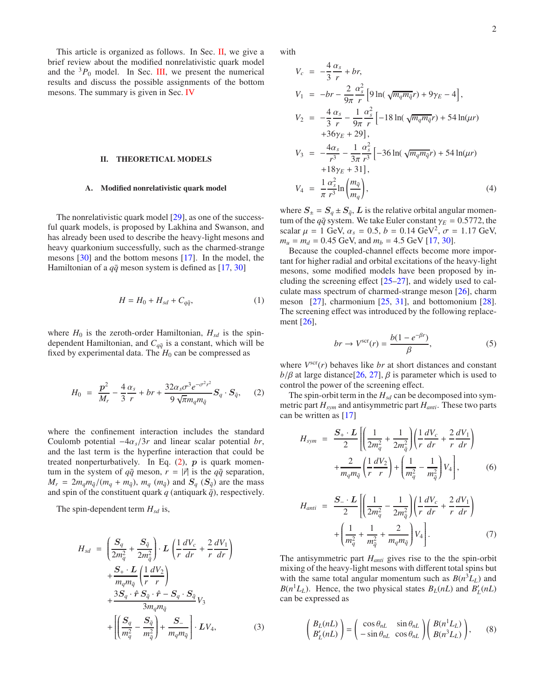This article is organized as follows. In Sec. [II,](#page-1-0) we give a brief review about the modified nonrelativistic quark model and the  ${}^{3}P_0$  model. In Sec. [III,](#page-2-0) we present the numerical results and discuss the possible assignments of the bottom mesons. The summary is given in Sec. [IV](#page-4-11)

#### <span id="page-1-0"></span>II. THEORETICAL MODELS

#### A. Modified nonrelativistic quark model

The nonrelativistic quark model [\[29\]](#page-5-11), as one of the successful quark models, is proposed by Lakhina and Swanson, and has already been used to describe the heavy-light mesons and heavy quarkonium successfully, such as the charmed-strange mesons [\[30\]](#page-5-12) and the bottom mesons [\[17\]](#page-5-3). In the model, the Hamiltonian of a  $q\bar{q}$  meson system is defined as [\[17](#page-5-3), [30](#page-5-12)]

<span id="page-1-2"></span>
$$
H = H_0 + H_{sd} + C_{q\bar{q}},\tag{1}
$$

where  $H_0$  is the zeroth-order Hamiltonian,  $H_{sd}$  is the spindependent Hamiltonian, and  $C_{q\bar{q}}$  is a constant, which will be fixed by experimental data. The  $H_0$  can be compressed as

<span id="page-1-1"></span>
$$
H_0 = \frac{p^2}{M_r} - \frac{4}{3} \frac{\alpha_s}{r} + br + \frac{32\alpha_s \sigma^3 e^{-\sigma^2 r^2}}{9\sqrt{\pi} m_q m_{\bar{q}}} S_q \cdot S_{\bar{q}}, \quad (2)
$$

where the confinement interaction includes the standard Coulomb potential  $-4\alpha_s/3r$  and linear scalar potential *br*, and the last term is the hyperfine interaction that could be treated nonperturbatively. In Eq.  $(2)$ ,  $p$  is quark momentum in the system of  $q\bar{q}$  meson,  $r = |\vec{r}|$  is the  $q\bar{q}$  separation,  $M_r = 2m_q m_{\bar{q}}/(m_q + m_{\bar{q}}), m_q (m_{\bar{q}})$  and  $S_q (S_{\bar{q}})$  are the mass and spin of the constituent quark  $q$  (antiquark  $\bar{q}$ ), respectively.

The spin-dependent term  $H_{sd}$  is,

$$
H_{sd} = \left(\frac{S_q}{2m_q^2} + \frac{S_{\bar{q}}}{2m_{\bar{q}}^2}\right) \cdot L\left(\frac{1}{r}\frac{dV_c}{dr} + \frac{2}{r}\frac{dV_1}{dr}\right)
$$
  
+ 
$$
\frac{S_+ \cdot L}{m_q m_{\bar{q}}}\left(\frac{1}{r}\frac{dV_2}{r}\right)
$$
  
+ 
$$
\frac{3S_q \cdot \hat{r} S_{\bar{q}} \cdot \hat{r} - S_q \cdot S_{\bar{q}}}{3m_q m_{\bar{q}}}
$$
  
+ 
$$
\left[\left(\frac{S_q}{m_q^2} - \frac{S_{\bar{q}}}{m_{\bar{q}}^2}\right) + \frac{S_-}{m_q m_{\bar{q}}}\right] \cdot LV_4,
$$
 (3)

with

$$
V_c = -\frac{4}{3} \frac{\alpha_s}{r} + br,
$$
  
\n
$$
V_1 = -br - \frac{2}{9\pi} \frac{\alpha_s^2}{r} \left[ 9 \ln(\sqrt{m_q m_{\bar{q}}} r) + 9\gamma_E - 4 \right],
$$
  
\n
$$
V_2 = -\frac{4}{3} \frac{\alpha_s}{r} - \frac{1}{9\pi} \frac{\alpha_s^2}{r} \left[ -18 \ln(\sqrt{m_q m_{\bar{q}}} r) + 54 \ln(\mu r) + 36\gamma_E + 29 \right],
$$
  
\n
$$
V_3 = -\frac{4\alpha_s}{r^3} - \frac{1}{3\pi} \frac{\alpha_s^2}{r^3} \left[ -36 \ln(\sqrt{m_q m_{\bar{q}}} r) + 54 \ln(\mu r) + 18\gamma_E + 31 \right],
$$
  
\n
$$
V_4 = \frac{1}{\pi} \frac{\alpha_s^2}{r^3} \ln \left( \frac{m_{\bar{q}}}{m_q} \right),
$$
  
\n(4)

where  $S_{\pm} = S_q \pm S_{\bar{q}}, L$  is the relative orbital angular momentum of the  $q\bar{q}$  system. We take Euler constant  $\gamma_E = 0.5772$ , the scalar  $\mu = 1$  GeV,  $\alpha_s = 0.5$ ,  $b = 0.14$  GeV<sup>2</sup>,  $\sigma = 1.17$  GeV,  $m_u = m_d = 0.45$  GeV, and  $m_b = 4.5$  GeV [\[17](#page-5-3), [30](#page-5-12)].

Because the coupled-channel effects become more important for higher radial and orbital excitations of the heavy-light mesons, some modified models have been proposed by including the screening effect [\[25](#page-5-8)[–27](#page-5-13)], and widely used to calculate mass spectrum of charmed-strange meson [\[26\]](#page-5-9), charm meson [\[27\]](#page-5-13), charmonium [\[25](#page-5-8), [31\]](#page-5-14), and bottomonium [\[28](#page-5-10)]. The screening effect was introduced by the following replacement [\[26\]](#page-5-9),

<span id="page-1-3"></span>
$$
br \to V^{\text{scr}}(r) = \frac{b(1 - e^{-\beta r})}{\beta},\tag{5}
$$

where  $V^{scr}(r)$  behaves like *br* at short distances and constant  $b/\beta$  at large distance<sup>[\[26,](#page-5-9) [27](#page-5-13)],  $\beta$  is parameter which is used to</sup> control the power of the screening effect.

The spin-orbit term in the  $H_{sd}$  can be decomposed into symmetric part *Hsym* and antisymmetric part *Hanti*. These two parts can be written as [\[17\]](#page-5-3)

$$
H_{sym} = \frac{S_{+} \cdot L}{2} \left[ \left( \frac{1}{2m_{q}^{2}} + \frac{1}{2m_{\bar{q}}^{2}} \right) \left( \frac{1}{r} \frac{dV_{c}}{dr} + \frac{2}{r} \frac{dV_{1}}{dr} \right) + \frac{2}{m_{q}m_{\bar{q}}} \left( \frac{1}{r} \frac{dV_{2}}{r} \right) + \left( \frac{1}{m_{q}^{2}} - \frac{1}{m_{\bar{q}}^{2}} \right) V_{4} \right],
$$
 (6)

$$
H_{anti} = \frac{S_{-} \cdot L}{2} \left[ \left( \frac{1}{2m_q^2} - \frac{1}{2m_{\bar{q}}^2} \right) \left( \frac{1}{r} \frac{dV_c}{dr} + \frac{2}{r} \frac{dV_1}{dr} \right) + \left( \frac{1}{m_q^2} + \frac{1}{m_{\bar{q}}^2} + \frac{2}{m_q m_{\bar{q}}} \right) V_4 \right].
$$
 (7)

The antisymmetric part *Hanti* gives rise to the the spin-orbit mixing of the heavy-light mesons with different total spins but with the same total angular momentum such as  $B(n^3L_L)$  and  $B(n^1L_L)$ . Hence, the two physical states  $B_L(nL)$  and  $B'_L(nL)$ can be expressed as

$$
\begin{pmatrix} B_L(nL) \\ B_L'(nL) \end{pmatrix} = \begin{pmatrix} \cos \theta_{nL} & \sin \theta_{nL} \\ -\sin \theta_{nL} & \cos \theta_{nL} \end{pmatrix} \begin{pmatrix} B(n^1 L_L) \\ B(n^3 L_L) \end{pmatrix}, \quad (8)
$$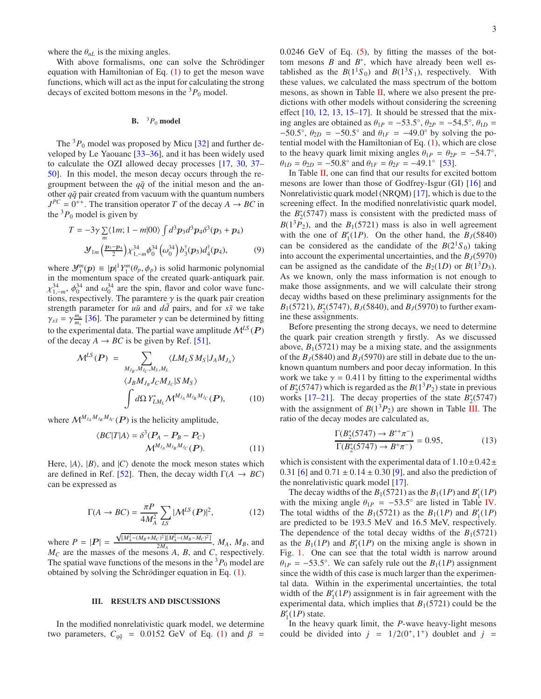where the  $\theta_{nL}$  is the mixing angles.

With above formalisms, one can solve the Schrödinger equation with Hamiltonian of Eq. [\(1\)](#page-1-2) to get the meson wave functions, which will act as the input for calculating the strong decays of excited bottom mesons in the  ${}^{3}P_0$  model.

### **B.**  ${}^{3}P_0$  model

The  ${}^{3}P_0$  model was proposed by Micu [\[32\]](#page-5-15) and further developed by Le Yaouanc [\[33](#page-5-16)[–36\]](#page-5-17), and it has been widely used to calculate the OZI allowed decay processes [\[17,](#page-5-3) [30,](#page-5-12) [37](#page-5-18)– [50\]](#page-5-19). In this model, the meson decay occurs through the regroupment between the  $q\bar{q}$  of the initial meson and the another  $q\bar{q}$  pair created from vacuum with the quantum numbers  $J^{PC} = 0^{++}$ . The transition operator *T* of the decay *A*  $\rightarrow$  *BC* in the  ${}^{3}P_0$  model is given by

$$
T = -3\gamma \sum_{m} \langle 1m; 1 - m|00 \rangle \int d^{3}p_{3}d^{3}p_{4}\delta^{3}(p_{3} + p_{4})
$$
  

$$
\mathcal{Y}_{1m} \left( \frac{p_{3} - p_{4}}{2} \right) \chi_{1, -m}^{34} \phi_{0}^{34} \left( \omega_{0}^{34} \right) b_{3}^{\dagger}(p_{3}) d_{4}^{\dagger}(p_{4}), \tag{9}
$$

where  $\mathcal{Y}_1^m(p) \equiv |p|^1 Y_1^m(\theta_p, \phi_p)$  is solid harmonic polynomial in the momentum space of the created quark-antiquark pair.  $\chi_{1,-m}^{34}$ ,  $\phi_0^{34}$  and  $\omega_0^{34}$  are the spin, flavor and color wave functions, respectively. The paramtere  $\gamma$  is the quark pair creation strength parameter for  $u\bar{u}$  and  $d\bar{d}$  pairs, and for  $s\bar{s}$  we take  $\gamma_{s\bar{s}} = \gamma^{\frac{m_u}{m_s}}$  [\[36\]](#page-5-17). The parameter  $\gamma$  can be determined by fitting to the experimental data. The partial wave amplitude  $\mathcal{M}^{LS}(\mathbf{P})$ of the decay  $A \rightarrow BC$  is be given by Ref. [\[51\]](#page-5-20),

$$
\mathcal{M}^{LS}(\boldsymbol{P}) = \sum_{M_{J_B}, M_{J_C}, M_S, M_L} \langle L M_L S M_S | J_A M_{J_A} \rangle
$$
  

$$
\langle J_B M_{J_B} J_C M_{J_C} | S M_S \rangle
$$
  

$$
\int d\Omega Y_{L M_L}^* \mathcal{M}^{M_{J_A} M_{J_B} M_{J_C}}(\boldsymbol{P}), \qquad (10)
$$

where  $\mathcal{M}^{M_{J_A}M_{J_B}M_{J_C}}(P)$  is the helicity amplitude,

$$
\langle BC|T|A\rangle = \delta^3(P_A - P_B - P_C)
$$
  

$$
\mathcal{M}^{M_{J_A} M_{J_B} M_{J_C}}(P).
$$
 (11)

Here,  $|A\rangle$ ,  $|B\rangle$ , and  $|C\rangle$  denote the mock meson states which are defined in Ref. [\[52\]](#page-5-21). Then, the decay width  $\Gamma(A \rightarrow BC)$ can be expressed as

$$
\Gamma(A \to BC) = \frac{\pi P}{4M_A^2} \sum_{LS} |\mathcal{M}^{LS}(P)|^2, \tag{12}
$$

where  $P = |P| = \frac{\sqrt{M_A - (M_B + M_C) + M_A - (M_B - M_C) + M_A}}{2M_A}$ ,  $M_A$ ,  $M_B$ , and  $M_C$  are the masses of the mesons *A*, *B*, and *C*, respectively.  $\sqrt{\frac{[M_A^2 - (M_B + M_C)^2][M_A^2 - (M_B - M_C)^2]}{2M_A}}$ , *M<sub>A</sub>*, *M<sub>B</sub>*, and The spatial wave functions of the mesons in the  ${}^{3}P_0$  model are obtained by solving the Schrödinger equation in Eq. [\(1\)](#page-1-2).

#### <span id="page-2-0"></span>III. RESULTS AND DISCUSSIONS

In the modified nonrelativistic quark model, we determine two parameters,  $C_{q\bar{q}}$  = 0.0152 GeV of Eq. [\(1\)](#page-1-2) and  $\beta$  =

 $0.0246$  GeV of Eq.  $(5)$ , by fitting the masses of the bottom mesons  $B$  and  $B^*$ , which have already been well established as the  $B(1^1S_0)$  and  $B(1^3S_1)$ , respectively. With these values, we calculated the mass spectrum of the bottom mesons, as shown in Table [II,](#page-3-0) where we also present the predictions with other models without considering the screening effect  $[10, 12, 13, 15–17]$  $[10, 12, 13, 15–17]$  $[10, 12, 13, 15–17]$  $[10, 12, 13, 15–17]$  $[10, 12, 13, 15–17]$  $[10, 12, 13, 15–17]$  $[10, 12, 13, 15–17]$ . It should be stressed that the mixing angles are obtained as  $\theta_{1P} = -53.5^{\circ}$ ,  $\theta_{2P} = -54.5^{\circ}$ ,  $\theta_{1D} =$ −50.5°,  $\theta_{2D}$  = −50.5° and  $\theta_{1F}$  = −49.0° by solving the potential model with the Hamiltonian of Eq. [\(1\)](#page-1-2), which are close to the heavy quark limit mixing angles  $\theta_{1P} = \theta_{2P} = -54.7^{\circ}$ ,  $\theta_{1D} = \theta_{2D} = -50.8^{\circ}$  and  $\theta_{1F} = \theta_{2F} = -49.1^{\circ}$  [\[53](#page-5-22)].

In Table [II,](#page-3-0) one can find that our results for excited bottom mesons are lower than those of Godfrey-Isgur (GI) [\[16](#page-5-7)] and Nonrelativistic quark model (NRQM) [\[17](#page-5-3)], which is due to the screening effect. In the modified nonrelativistic quark model, the  $B_2^*(5747)$  mass is consistent with the predicted mass of  $B(1^3P_2)$ , and the  $B_1(5721)$  mass is also in well agreement with the one of  $B'_{1}(1P)$ . On the other hand, the  $B_{J}(5840)$ can be considered as the candidate of the  $B(2<sup>1</sup>S<sub>0</sub>)$  taking into account the experimental uncertainties, and the  $B<sub>J</sub>(5970)$ can be assigned as the candidate of the  $B_2(1D)$  or  $B(1^3D_3)$ . As we known, only the mass information is not enough to make those assignments, and we will calculate their strong decay widths based on these preliminary assignments for the *B*<sub>1</sub>(5721), *B*<sub>2</sub>(5747), *B<sub>J</sub>*(5840), and *B<sub>J</sub>*(5970) to further examine these assignments.

Before presenting the strong decays, we need to determine the quark pair creation strength  $\gamma$  firstly. As we discussed above,  $B_1(5721)$  may be a mixing state, and the assignments of the  $B_J(5840)$  and  $B_J(5970)$  are still in debate due to the unknown quantum numbers and poor decay information. In this work we take  $\gamma = 0.411$  by fitting to the experimental widths of  $B_2^*(5747)$  which is regarded as the  $B(1^3P_2)$  state in previous works  $[17–21]$  $[17–21]$  $[17–21]$ . The decay properties of the state  $B_2^*(5747)$ with the assignment of  $B(1^3P_2)$  are shown in Table [III.](#page-3-1) The ratio of the decay modes are calculated as,

$$
\frac{\Gamma(B_2^*(5747) \to B^{*+}\pi^-)}{\Gamma(B_2^*(5747) \to B^+\pi^-)} = 0.95,
$$
\n(13)

which is consistent with the experimental data of  $1.10\pm0.42\pm$ 0.31 [\[6](#page-4-5)] and  $0.71 \pm 0.14 \pm 0.30$  [\[9\]](#page-4-7), and also the prediction of the nonrelativistic quark model [\[17\]](#page-5-3).

The decay widths of the  $B_1(5721)$  as the  $B_1(1P)$  and  $B'_1(1P)$ with the mixing angle  $\theta_{1P} = -53.5^{\circ}$  are listed in Table [IV.](#page-3-2) The total widths of the  $B_1(5721)$  as the  $B_1(1P)$  and  $B'_1(1P)$ are predicted to be 193.5 MeV and 16.5 MeV, respectively. The dependence of the total decay widths of the  $B_1(5721)$ as the  $B_1(1P)$  and  $B'_1(1P)$  on the mixing angle is shown in Fig. [1.](#page-3-3) One can see that the total width is narrow around  $\theta_{1P} = -53.5^{\circ}$ . We can safely rule out the *B*<sub>1</sub>(1*P*) assignment since the width of this case is much larger than the experimental data. Within in the experimental uncertainties, the total width of the  $B'_1(1P)$  assignment is in fair agreement with the experimental data, which implies that  $B_1(5721)$  could be the  $B_1'(1P)$  state.

In the heavy quark limit, the *P*-wave heavy-light mesons could be divided into  $j = 1/2(0^+, 1^+)$  doublet and  $j =$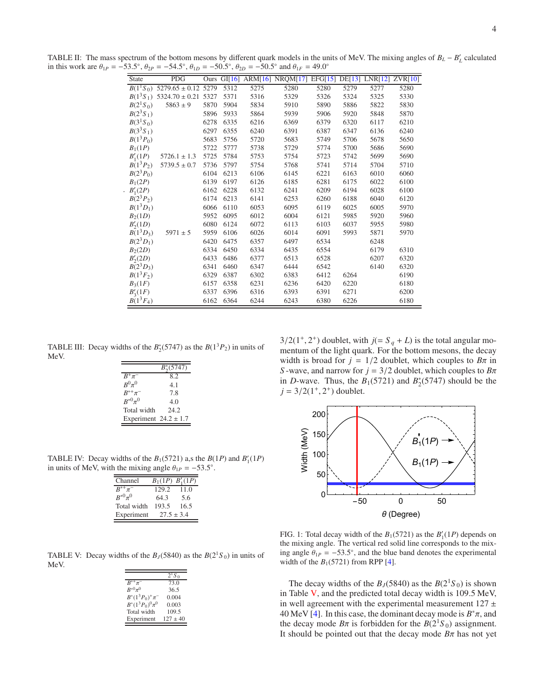<span id="page-3-0"></span>TABLE II: The mass spectrum of the bottom mesons by different quark models in the units of MeV. The mixing angles of  $B_L - B'_L$  calculated in this work are  $\theta_{1P} = -53.5^{\circ}$ ,  $\theta_{2P} = -54.5^{\circ}$ ,  $\theta_{1D} = -50.5^{\circ}$ ,  $\theta_{2D} = -50.5^{\circ}$  and  $\theta_{1F} = 49.0^{\circ}$ 

| <b>State</b>                      | <b>PDG</b>              | Ours |      |      | GI[16] ARM[16] NRQM[17] | EFG[15] | DE[13] | LNR[12] | ZVR[10] |
|-----------------------------------|-------------------------|------|------|------|-------------------------|---------|--------|---------|---------|
| $B(1^1S_0)$                       | $5279.65 \pm 0.12$ 5279 |      | 5312 | 5275 | 5280                    | 5280    | 5279   | 5277    | 5280    |
| $B(1^3S_1)$                       | $5324.70 \pm 0.21$      | 5327 | 5371 | 5316 | 5329                    | 5326    | 5324   | 5325    | 5330    |
| $B(2^1S_0)$                       | $5863 \pm 9$            | 5870 | 5904 | 5834 | 5910                    | 5890    | 5886   | 5822    | 5830    |
| $B(2^3S_1)$                       |                         | 5896 | 5933 | 5864 | 5939                    | 5906    | 5920   | 5848    | 5870    |
| B(3 <sup>1</sup> S <sub>0</sub> ) |                         | 6278 | 6335 | 6216 | 6369                    | 6379    | 6320   | 6117    | 6210    |
| $B(3^3S_1)$                       |                         | 6297 | 6355 | 6240 | 6391                    | 6387    | 6347   | 6136    | 6240    |
| $B(1^3P_0)$                       |                         | 5683 | 5756 | 5720 | 5683                    | 5749    | 5706   | 5678    | 5650    |
| $B_1(1P)$                         |                         | 5722 | 5777 | 5738 | 5729                    | 5774    | 5700   | 5686    | 5690    |
| $B'_{1}(1P)$                      | $5726.1 \pm 1.3$        | 5725 | 5784 | 5753 | 5754                    | 5723    | 5742   | 5699    | 5690    |
| $B(1^3P_2)$                       | $5739.5 \pm 0.7$        | 5736 | 5797 | 5754 | 5768                    | 5741    | 5714   | 5704    | 5710    |
| $B(2^3P_0)$                       |                         | 6104 | 6213 | 6106 | 6145                    | 6221    | 6163   | 6010    | 6060    |
| $B_1(2P)$                         |                         | 6139 | 6197 | 6126 | 6185                    | 6281    | 6175   | 6022    | 6100    |
| $B'_{1}(2P)$                      |                         | 6162 | 6228 | 6132 | 6241                    | 6209    | 6194   | 6028    | 6100    |
| $B(2^3P_2)$                       |                         | 6174 | 6213 | 6141 | 6253                    | 6260    | 6188   | 6040    | 6120    |
| $B(1^3D_1)$                       |                         | 6066 | 6110 | 6053 | 6095                    | 6119    | 6025   | 6005    | 5970    |
| B <sub>2</sub> (1D)               |                         | 5952 | 6095 | 6012 | 6004                    | 6121    | 5985   | 5920    | 5960    |
| $B'_{2}(1D)$                      |                         | 6080 | 6124 | 6072 | 6113                    | 6103    | 6037   | 5955    | 5980    |
| $B(1^3D_3)$                       | $5971 \pm 5$            | 5959 | 6106 | 6026 | 6014                    | 6091    | 5993   | 5871    | 5970    |
| $B(2^3D_1)$                       |                         | 6420 | 6475 | 6357 | 6497                    | 6534    |        | 6248    |         |
| B <sub>2</sub> (2D)               |                         | 6334 | 6450 | 6334 | 6435                    | 6554    |        | 6179    | 6310    |
| $B'_{2}(2D)$                      |                         | 6433 | 6486 | 6377 | 6513                    | 6528    |        | 6207    | 6320    |
| $B(2^3D_3)$                       |                         | 6341 | 6460 | 6347 | 6444                    | 6542    |        | 6140    | 6320    |
| $B(1^3F_2)$                       |                         | 6329 | 6387 | 6302 | 6383                    | 6412    | 6264   |         | 6190    |
| $B_3(1F)$                         |                         | 6157 | 6358 | 6231 | 6236                    | 6420    | 6220   |         | 6180    |
| $B'_{3}(1F)$                      |                         | 6337 | 6396 | 6316 | 6393                    | 6391    | 6271   |         | 6200    |
| $B(1^3F_4)$                       |                         | 6162 | 6364 | 6244 | 6243                    | 6380    | 6226   |         | 6180    |

TABLE III: Decay widths of the  $B_2^*(5747)$  as the  $B(1^3P_2)$  in units of MeV.

<span id="page-3-1"></span>

|                           | $B_2^*(5747)$ |
|---------------------------|---------------|
| $B^+\pi^-$                | 82            |
| $R^0\pi^0$                | 4.1           |
| $B^{*+}\pi^-$             | 7.8           |
| $R^{*0}\pi^0$             | 4.0           |
| Total width               | 24.2          |
| Experiment $24.2 \pm 1.7$ |               |

TABLE IV: Decay widths of the  $B_1(5721)$  a,s the  $B(1P)$  and  $B'_1(1P)$ in units of MeV, with the mixing angle  $\theta_{1P} = -53.5^{\circ}$ .

<span id="page-3-2"></span>

| Channel       |       | $B_1(1P) B'_1(1P)$ |
|---------------|-------|--------------------|
| $B^{*+}\pi^-$ | 129.2 | 11.0               |
| $R^{*0}\pi^0$ | 64.3  | 5.6                |
| Total width   | 193.5 | 16.5               |
| Experiment    |       | $27.5 + 3.4$       |

<span id="page-3-4"></span>TABLE V: Decay widths of the  $B_J$ (5840) as the  $B(2<sup>1</sup>S_0)$  in units of MeV.

|                      | $2^1S_0$   |
|----------------------|------------|
| $R^{*+}\pi^-$        | 73.0       |
| $R^{*0}\pi^0$        | 36.5       |
| $B^*(1^3P_0)^+\pi^-$ | 0.004      |
| $B^*(1^3P_0)^0\pi^0$ | 0.003      |
| Total width          | 109.5      |
| Experiment           | $127 + 40$ |

 $3/2(1^+, 2^+)$  doublet, with  $j (= S_q + L)$  is the total angular momentum of the light quark. For the bottom mesons, the decay width is broad for  $j = 1/2$  doublet, which couples to  $B\pi$  in *S* -wave, and narrow for  $j = 3/2$  doublet, which couples to  $B\pi$ in *D*-wave. Thus, the  $B_1(5721)$  and  $B_2^*(5747)$  should be the  $j = 3/2(1^+, 2^+)$  doublet.



<span id="page-3-3"></span>FIG. 1: Total decay width of the  $B_1(5721)$  as the  $B'_1(1P)$  depends on the mixing angle. The vertical red solid line corresponds to the mixing angle  $\theta_{1P} = -53.5^{\circ}$ , and the blue band denotes the experimental width of the  $B_1(5721)$  from RPP [\[4](#page-4-3)].

The decay widths of the  $B_J(5840)$  as the  $B(2<sup>1</sup>S_0)$  is shown in Table [V,](#page-3-4) and the predicted total decay width is 109.5 MeV, in well agreement with the experimental measurement  $127 \pm$ 40 MeV [\[4\]](#page-4-3). In this case, the dominant decay mode is  $B^*\pi$ , and the decay mode  $B\pi$  is forbidden for the  $B(2<sup>1</sup>S<sub>0</sub>)$  assignment. It should be pointed out that the decay mode  $B\pi$  has not yet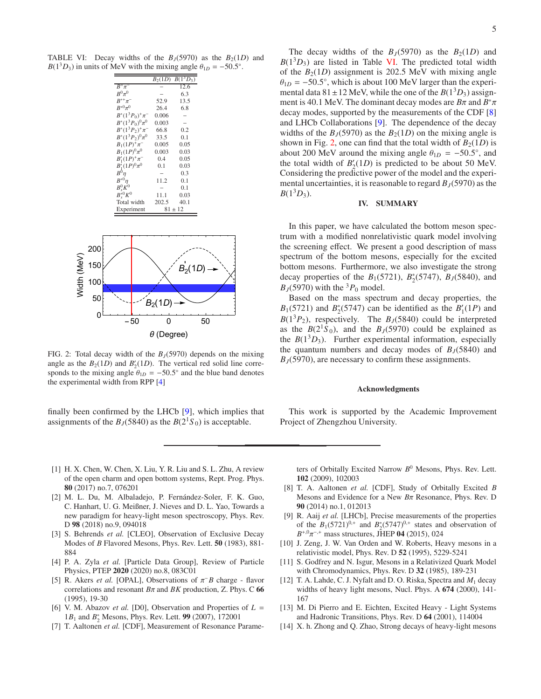TABLE VI: Decay widths of the  $B_J(5970)$  as the  $B_2(1D)$  and  $B(1^3D_3)$  in units of MeV with the mixing angle  $\theta_{1D} = -50.5^\circ$ .

<span id="page-4-14"></span>

|                         | $B_2(1D)$ | $B(1^3D_3)$ |
|-------------------------|-----------|-------------|
| $B^+\pi^-$              |           | 12.6        |
| $R^0\pi^0$              |           | 6.3         |
| $B^{*+}\pi^-$           | 52.9      | 13.5        |
| $R^{*0}\pi^0$           | 26.4      | 6.8         |
| $B^*(1^3P_0)^+\pi^-$    | 0.006     |             |
| $B^*(1^3P_0)^0\pi^0$    | 0.003     |             |
| $B^*(1^3P_2)^+\pi^-$    | 66.8      | 0.2         |
| $B^*(1^3P_2)^0\pi^0$    | 33.5      | 0.1         |
| $B_1(1P)^+\pi^-$        | 0.005     | 0.05        |
| $B_1(1P)^0\pi^0$        | 0.003     | 0.03        |
| $B'_{1}(1P)^{+}\pi^{-}$ | 0.4       | 0.05        |
| $B'_{1}(1P)^{0}\pi^{0}$ | 0.1       | 0.03        |
| $B^0 n$                 |           | 0.3         |
| $B^{*0}n$               | 11.2      | 0.1         |
| $B^0_s K^0$             |           | 0.1         |
| $B^{\ast 0} K^0$        | 11.1      | 0.03        |
| Total width             | 202.5     | 40.1        |
| Experiment              |           | $81 \pm 12$ |



<span id="page-4-15"></span>FIG. 2: Total decay width of the  $B<sub>I</sub>(5970)$  depends on the mixing angle as the  $B_2(1D)$  and  $B'_2(1D)$ . The vertical red solid line corresponds to the mixing angle  $\theta_{1D} = -50.5^{\circ}$  and the blue band denotes the experimental width from RPP [\[4](#page-4-3)]

finally been confirmed by the LHCb [\[9](#page-4-7)], which implies that assignments of the *B*<sub>*I*</sub>(5840) as the *B*( $2^{1}S_{0}$ ) is acceptable.

The decay widths of the  $B_J(5970)$  as the  $B_2(1D)$  and  $B(1<sup>3</sup>D<sub>3</sub>)$  are listed in Table [VI.](#page-4-14) The predicted total width of the  $B_2(1D)$  assignment is 202.5 MeV with mixing angle  $\theta_{1D} = -50.5^{\circ}$ , which is about 100 MeV larger than the experimental data  $81 \pm 12$  MeV, while the one of the  $B(1^3D_3)$  assignment is 40.1 MeV. The dominant decay modes are *B*π and *B* ∗π decay modes, supported by the measurements of the CDF [\[8\]](#page-4-8) and LHCb Collaborations [\[9\]](#page-4-7). The dependence of the decay widths of the  $B<sub>I</sub>(5970)$  as the  $B<sub>2</sub>(1D)$  on the mixing angle is shown in Fig. [2,](#page-4-15) one can find that the total width of  $B_2(1D)$  is about 200 MeV around the mixing angle  $\theta_{1D} = -50.5^{\circ}$ , and the total width of  $B_2'(1D)$  is predicted to be about 50 MeV. Considering the predictive power of the model and the experimental uncertainties, it is reasonable to regard  $B<sub>J</sub>(5970)$  as the  $B(1^3D_3)$ .

## <span id="page-4-11"></span>IV. SUMMARY

In this paper, we have calculated the bottom meson spectrum with a modified nonrelativistic quark model involving the screening effect. We present a good description of mass spectrum of the bottom mesons, especially for the excited bottom mesons. Furthermore, we also investigate the strong decay properties of the *B*<sub>1</sub>(5721), *B*<sub>2</sub>(5747), *B<sub>J</sub>*(5840), and  $B<sub>I</sub>(5970)$  with the <sup>3</sup> $P<sub>0</sub>$  model.

Based on the mass spectrum and decay properties, the  $B_1(5721)$  and  $B_2^*(5747)$  can be identified as the  $B_1'(1P)$  and  $B(1^3P_2)$ , respectively. The  $B<sub>J</sub>(5840)$  could be interpreted as the  $B(2^1S_0)$ , and the  $B<sub>J</sub>(5970)$  could be explained as the  $B(1^3D_3)$ . Further experimental information, especially the quantum numbers and decay modes of  $B_J(5840)$  and *BJ*(5970), are necessary to confirm these assignments.

#### Acknowledgments

This work is supported by the Academic Improvement Project of Zhengzhou University.

- <span id="page-4-0"></span>[1] H. X. Chen, W. Chen, X. Liu, Y. R. Liu and S. L. Zhu, A review of the open charm and open bottom systems, Rept. Prog. Phys. 80 (2017) no.7, 076201
- <span id="page-4-1"></span>[2] M. L. Du, M. Albaladejo, P. Fernández-Soler, F. K. Guo, C. Hanhart, U. G. Meißner, J. Nieves and D. L. Yao, Towards a new paradigm for heavy-light meson spectroscopy, Phys. Rev. D 98 (2018) no.9, 094018
- <span id="page-4-2"></span>[3] S. Behrends *et al.* [CLEO], Observation of Exclusive Decay Modes of *B* Flavored Mesons, Phys. Rev. Lett. 50 (1983), 881- 884
- <span id="page-4-3"></span>[4] P. A. Zyla *et al.* [Particle Data Group], Review of Particle Physics, PTEP 2020 (2020) no.8, 083C01
- <span id="page-4-4"></span>[5] R. Akers *et al.* [OPAL], Observations of  $\pi$ <sup>-</sup> *B* charge - flavor correlations and resonant *B*π and *BK* production, Z. Phys. C 66 (1995), 19-30
- <span id="page-4-5"></span>[6] V. M. Abazov *et al.* [D0], Observation and Properties of *L* = 1*B*<sub>1</sub> and *B*<sup>\*</sup><sub>2</sub> Mesons, Phys. Rev. Lett. **99** (2007), 172001
- <span id="page-4-6"></span>[7] T. Aaltonen *et al.* [CDF], Measurement of Resonance Parame-

ters of Orbitally Excited Narrow *B* <sup>0</sup> Mesons, Phys. Rev. Lett. 102 (2009), 102003

- <span id="page-4-8"></span>[8] T. A. Aaltonen *et al.* [CDF], Study of Orbitally Excited *B* Mesons and Evidence for a New *B*π Resonance, Phys. Rev. D 90 (2014) no.1, 012013
- <span id="page-4-7"></span>[9] R. Aaij *et al.* [LHCb], Precise measurements of the properties of the  $B_1(5721)^{0,+}$  and  $B_2^*(5747)^{0,+}$  states and observation of  $B^{+,0}\pi^{-,+}$  mass structures, JHEP 04 (2015), 024
- <span id="page-4-9"></span>[10] J. Zeng, J. W. Van Orden and W. Roberts, Heavy mesons in a relativistic model, Phys. Rev. D 52 (1995), 5229-5241
- <span id="page-4-10"></span>[11] S. Godfrey and N. Isgur, Mesons in a Relativized Quark Model with Chromodynamics, Phys. Rev. D 32 (1985), 189-231
- <span id="page-4-12"></span>[12] T. A. Lahde, C. J. Nyfalt and D. O. Riska, Spectra and *M*<sup>1</sup> decay widths of heavy light mesons, Nucl. Phys. A 674 (2000), 141- 167
- <span id="page-4-13"></span>[13] M. Di Pierro and E. Eichten, Excited Heavy - Light Systems and Hadronic Transitions, Phys. Rev. D 64 (2001), 114004
- [14] X. h. Zhong and Q. Zhao, Strong decays of heavy-light mesons